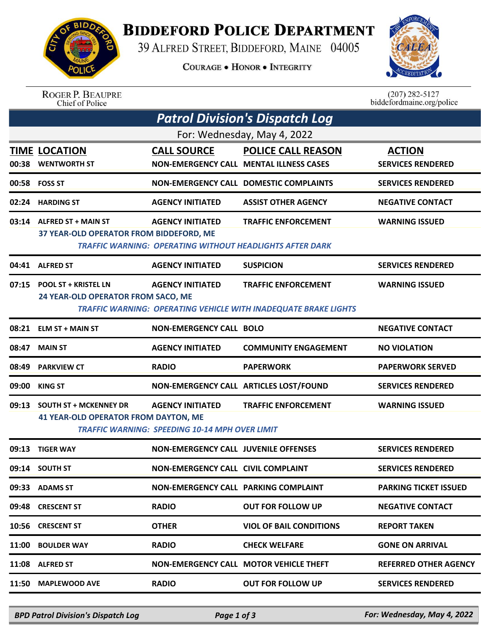

## **BIDDEFORD POLICE DEPARTMENT**

39 ALFRED STREET, BIDDEFORD, MAINE 04005

**COURAGE . HONOR . INTEGRITY** 



| <b>ROGER P. BEAUPRE</b> |
|-------------------------|
| Chief of Police         |

 $(207)$  282-5127<br>biddefordmaine.org/police

|                             | <b>Patrol Division's Dispatch Log</b>                                        |                                                                                  |                                                                                               |                                           |  |  |  |  |  |
|-----------------------------|------------------------------------------------------------------------------|----------------------------------------------------------------------------------|-----------------------------------------------------------------------------------------------|-------------------------------------------|--|--|--|--|--|
| For: Wednesday, May 4, 2022 |                                                                              |                                                                                  |                                                                                               |                                           |  |  |  |  |  |
|                             | <b>TIME LOCATION</b><br>00:38 WENTWORTH ST                                   | <b>CALL SOURCE</b>                                                               | <b>POLICE CALL REASON</b><br><b>NON-EMERGENCY CALL MENTAL ILLNESS CASES</b>                   | <b>ACTION</b><br><b>SERVICES RENDERED</b> |  |  |  |  |  |
|                             | 00:58 FOSS ST                                                                |                                                                                  | <b>NON-EMERGENCY CALL DOMESTIC COMPLAINTS</b>                                                 | <b>SERVICES RENDERED</b>                  |  |  |  |  |  |
|                             | 02:24 HARDING ST                                                             | <b>AGENCY INITIATED</b>                                                          | <b>ASSIST OTHER AGENCY</b>                                                                    | <b>NEGATIVE CONTACT</b>                   |  |  |  |  |  |
|                             | 03:14 ALFRED ST + MAIN ST<br>37 YEAR-OLD OPERATOR FROM BIDDEFORD, ME         | <b>AGENCY INITIATED</b>                                                          | <b>TRAFFIC ENFORCEMENT</b><br><b>TRAFFIC WARNING: OPERATING WITHOUT HEADLIGHTS AFTER DARK</b> | <b>WARNING ISSUED</b>                     |  |  |  |  |  |
|                             | 04:41 ALFRED ST                                                              | <b>AGENCY INITIATED</b>                                                          | <b>SUSPICION</b>                                                                              | <b>SERVICES RENDERED</b>                  |  |  |  |  |  |
|                             | 07:15 POOL ST + KRISTEL LN<br>24 YEAR-OLD OPERATOR FROM SACO, ME             | <b>AGENCY INITIATED</b>                                                          | <b>TRAFFIC ENFORCEMENT</b><br>TRAFFIC WARNING: OPERATING VEHICLE WITH INADEQUATE BRAKE LIGHTS | <b>WARNING ISSUED</b>                     |  |  |  |  |  |
| 08:21                       | <b>ELM ST + MAIN ST</b>                                                      | <b>NON-EMERGENCY CALL BOLO</b>                                                   |                                                                                               | <b>NEGATIVE CONTACT</b>                   |  |  |  |  |  |
| 08:47                       | <b>MAIN ST</b>                                                               | <b>AGENCY INITIATED</b>                                                          | <b>COMMUNITY ENGAGEMENT</b>                                                                   | <b>NO VIOLATION</b>                       |  |  |  |  |  |
|                             | 08:49 PARKVIEW CT                                                            | <b>RADIO</b>                                                                     | <b>PAPERWORK</b>                                                                              | <b>PAPERWORK SERVED</b>                   |  |  |  |  |  |
|                             | 09:00 KING ST                                                                | NON-EMERGENCY CALL ARTICLES LOST/FOUND                                           |                                                                                               | <b>SERVICES RENDERED</b>                  |  |  |  |  |  |
| 09:13                       | <b>SOUTH ST + MCKENNEY DR</b><br><b>41 YEAR-OLD OPERATOR FROM DAYTON, ME</b> | <b>AGENCY INITIATED</b><br><b>TRAFFIC WARNING: SPEEDING 10-14 MPH OVER LIMIT</b> | <b>TRAFFIC ENFORCEMENT</b>                                                                    | <b>WARNING ISSUED</b>                     |  |  |  |  |  |
| 09:13                       | <b>TIGER WAY</b>                                                             | <b>NON-EMERGENCY CALL JUVENILE OFFENSES</b>                                      |                                                                                               | <b>SERVICES RENDERED</b>                  |  |  |  |  |  |
|                             | 09:14 SOUTH ST                                                               | <b>NON-EMERGENCY CALL CIVIL COMPLAINT</b>                                        |                                                                                               | <b>SERVICES RENDERED</b>                  |  |  |  |  |  |
| 09:33                       | <b>ADAMS ST</b>                                                              | <b>NON-EMERGENCY CALL PARKING COMPLAINT</b>                                      |                                                                                               | <b>PARKING TICKET ISSUED</b>              |  |  |  |  |  |
| 09:48                       | <b>CRESCENT ST</b>                                                           | <b>RADIO</b>                                                                     | <b>OUT FOR FOLLOW UP</b>                                                                      | <b>NEGATIVE CONTACT</b>                   |  |  |  |  |  |
| 10:56                       | <b>CRESCENT ST</b>                                                           | <b>OTHER</b>                                                                     | <b>VIOL OF BAIL CONDITIONS</b>                                                                | <b>REPORT TAKEN</b>                       |  |  |  |  |  |
| 11:00                       | <b>BOULDER WAY</b>                                                           | <b>RADIO</b>                                                                     | <b>CHECK WELFARE</b>                                                                          | <b>GONE ON ARRIVAL</b>                    |  |  |  |  |  |
| 11:08                       | <b>ALFRED ST</b>                                                             | <b>NON-EMERGENCY CALL MOTOR VEHICLE THEFT</b>                                    |                                                                                               | <b>REFERRED OTHER AGENCY</b>              |  |  |  |  |  |
| 11:50                       | <b>MAPLEWOOD AVE</b>                                                         | <b>RADIO</b>                                                                     | <b>OUT FOR FOLLOW UP</b>                                                                      | <b>SERVICES RENDERED</b>                  |  |  |  |  |  |

*BPD Patrol Division's Dispatch Log Page 1 of 3 For: Wednesday, May 4, 2022*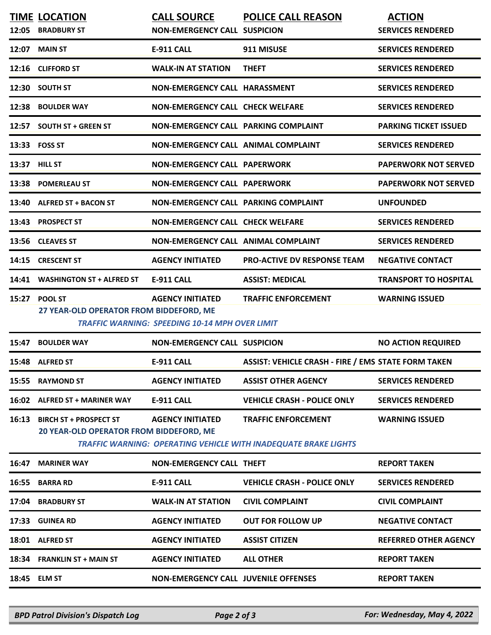| 12:05 | <b>TIME LOCATION</b><br><b>BRADBURY ST</b>                               | <b>CALL SOURCE</b><br><b>NON-EMERGENCY CALL SUSPICION</b>                 | <b>POLICE CALL REASON</b>                                                                     | <b>ACTION</b><br><b>SERVICES RENDERED</b> |
|-------|--------------------------------------------------------------------------|---------------------------------------------------------------------------|-----------------------------------------------------------------------------------------------|-------------------------------------------|
| 12:07 | <b>MAIN ST</b>                                                           | <b>E-911 CALL</b>                                                         | 911 MISUSE                                                                                    | <b>SERVICES RENDERED</b>                  |
|       | 12:16 CLIFFORD ST                                                        | <b>WALK-IN AT STATION</b>                                                 | <b>THEFT</b>                                                                                  | <b>SERVICES RENDERED</b>                  |
| 12:30 | <b>SOUTH ST</b>                                                          | NON-EMERGENCY CALL HARASSMENT                                             |                                                                                               | <b>SERVICES RENDERED</b>                  |
| 12:38 | <b>BOULDER WAY</b>                                                       | <b>NON-EMERGENCY CALL CHECK WELFARE</b>                                   |                                                                                               | <b>SERVICES RENDERED</b>                  |
|       | 12:57 SOUTH ST + GREEN ST                                                | <b>NON-EMERGENCY CALL PARKING COMPLAINT</b>                               |                                                                                               | <b>PARKING TICKET ISSUED</b>              |
|       | 13:33 FOSS ST                                                            | <b>NON-EMERGENCY CALL ANIMAL COMPLAINT</b>                                |                                                                                               | <b>SERVICES RENDERED</b>                  |
|       | 13:37 HILL ST                                                            | <b>NON-EMERGENCY CALL PAPERWORK</b>                                       |                                                                                               | <b>PAPERWORK NOT SERVED</b>               |
| 13:38 | <b>POMERLEAU ST</b>                                                      | <b>NON-EMERGENCY CALL PAPERWORK</b>                                       |                                                                                               | <b>PAPERWORK NOT SERVED</b>               |
| 13:40 | <b>ALFRED ST + BACON ST</b>                                              | NON-EMERGENCY CALL PARKING COMPLAINT                                      |                                                                                               | <b>UNFOUNDED</b>                          |
|       | 13:43 PROSPECT ST                                                        | <b>NON-EMERGENCY CALL CHECK WELFARE</b>                                   |                                                                                               | <b>SERVICES RENDERED</b>                  |
|       | 13:56 CLEAVES ST                                                         | <b>NON-EMERGENCY CALL ANIMAL COMPLAINT</b>                                |                                                                                               | <b>SERVICES RENDERED</b>                  |
| 14:15 | <b>CRESCENT ST</b>                                                       | <b>AGENCY INITIATED</b>                                                   | <b>PRO-ACTIVE DV RESPONSE TEAM</b>                                                            | <b>NEGATIVE CONTACT</b>                   |
| 14:41 | <b>WASHINGTON ST + ALFRED ST</b>                                         | <b>E-911 CALL</b>                                                         | <b>ASSIST: MEDICAL</b>                                                                        | <b>TRANSPORT TO HOSPITAL</b>              |
|       | 15:27 POOL ST<br>27 YEAR-OLD OPERATOR FROM BIDDEFORD, ME                 | <b>AGENCY INITIATED</b><br>TRAFFIC WARNING: SPEEDING 10-14 MPH OVER LIMIT | <b>TRAFFIC ENFORCEMENT</b>                                                                    | <b>WARNING ISSUED</b>                     |
| 15:47 | <b>BOULDER WAY</b>                                                       | <b>NON-EMERGENCY CALL SUSPICION</b>                                       |                                                                                               | <b>NO ACTION REQUIRED</b>                 |
|       | 15:48 ALFRED ST                                                          | <b>E-911 CALL</b>                                                         | <b>ASSIST: VEHICLE CRASH - FIRE / EMS STATE FORM TAKEN</b>                                    |                                           |
| 15:55 | <b>RAYMOND ST</b>                                                        | <b>AGENCY INITIATED</b>                                                   | <b>ASSIST OTHER AGENCY</b>                                                                    | <b>SERVICES RENDERED</b>                  |
| 16:02 | <b>ALFRED ST + MARINER WAY</b>                                           | <b>E-911 CALL</b>                                                         | <b>VEHICLE CRASH - POLICE ONLY</b>                                                            | <b>SERVICES RENDERED</b>                  |
| 16:13 | <b>BIRCH ST + PROSPECT ST</b><br>20 YEAR-OLD OPERATOR FROM BIDDEFORD, ME | <b>AGENCY INITIATED</b>                                                   | <b>TRAFFIC ENFORCEMENT</b><br>TRAFFIC WARNING: OPERATING VEHICLE WITH INADEQUATE BRAKE LIGHTS | <b>WARNING ISSUED</b>                     |
| 16:47 | <b>MARINER WAY</b>                                                       | <b>NON-EMERGENCY CALL THEFT</b>                                           |                                                                                               | <b>REPORT TAKEN</b>                       |
| 16:55 | <b>BARRA RD</b>                                                          | E-911 CALL                                                                | <b>VEHICLE CRASH - POLICE ONLY</b>                                                            | <b>SERVICES RENDERED</b>                  |
|       | 17:04 BRADBURY ST                                                        | <b>WALK-IN AT STATION</b>                                                 | <b>CIVIL COMPLAINT</b>                                                                        | <b>CIVIL COMPLAINT</b>                    |
|       | 17:33 GUINEA RD                                                          | <b>AGENCY INITIATED</b>                                                   | <b>OUT FOR FOLLOW UP</b>                                                                      | <b>NEGATIVE CONTACT</b>                   |
|       | 18:01 ALFRED ST                                                          | <b>AGENCY INITIATED</b>                                                   | <b>ASSIST CITIZEN</b>                                                                         | <b>REFERRED OTHER AGENCY</b>              |
|       | 18:34 FRANKLIN ST + MAIN ST                                              | <b>AGENCY INITIATED</b>                                                   | <b>ALL OTHER</b>                                                                              | <b>REPORT TAKEN</b>                       |
|       | 18:45 ELM ST                                                             | <b>NON-EMERGENCY CALL JUVENILE OFFENSES</b>                               |                                                                                               | <b>REPORT TAKEN</b>                       |